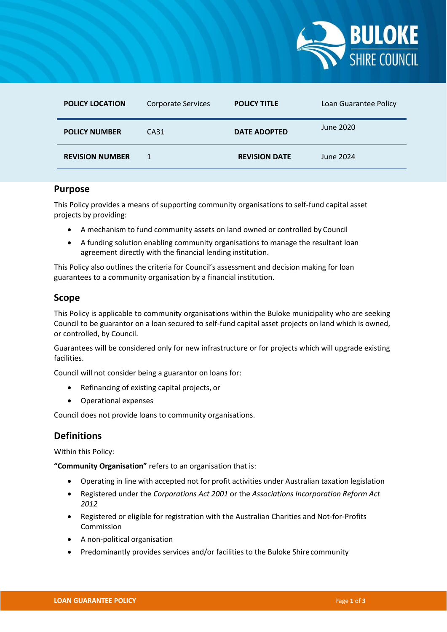

| <b>POLICY LOCATION</b> | <b>Corporate Services</b> | <b>POLICY TITLE</b>  | Loan Guarantee Policy |
|------------------------|---------------------------|----------------------|-----------------------|
| <b>POLICY NUMBER</b>   | CA31                      | <b>DATE ADOPTED</b>  | June 2020             |
| <b>REVISION NUMBER</b> |                           | <b>REVISION DATE</b> | June 2024             |

#### **Purpose**

This Policy provides a means of supporting community organisations to self-fund capital asset projects by providing:

- A mechanism to fund community assets on land owned or controlled by Council
- A funding solution enabling community organisations to manage the resultant loan agreement directly with the financial lending institution.

This Policy also outlines the criteria for Council's assessment and decision making for loan guarantees to a community organisation by a financial institution.

### **Scope**

This Policy is applicable to community organisations within the Buloke municipality who are seeking Council to be guarantor on a loan secured to self-fund capital asset projects on land which is owned, or controlled, by Council.

Guarantees will be considered only for new infrastructure or for projects which will upgrade existing facilities.

Council will not consider being a guarantor on loans for:

- Refinancing of existing capital projects, or
- Operational expenses

Council does not provide loans to community organisations.

## **Definitions**

Within this Policy:

**"Community Organisation"** refers to an organisation that is:

- Operating in line with accepted not for profit activities under Australian taxation legislation
- Registered under the *Corporations Act 2001* or the *Associations Incorporation Reform Act 2012*
- Registered or eligible for registration with the Australian Charities and Not-for-Profits Commission
- A non-political organisation
- Predominantly provides services and/or facilities to the Buloke Shirecommunity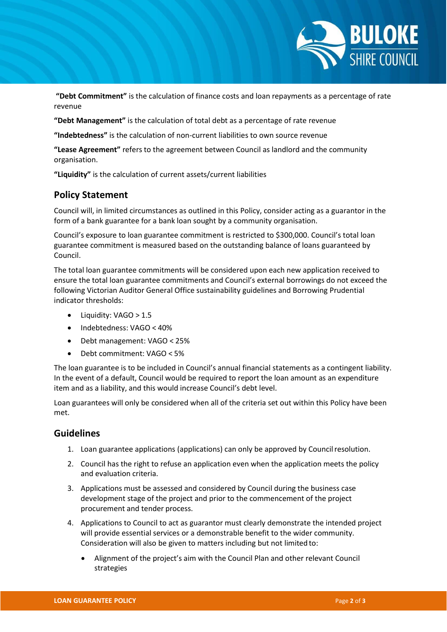

**"Debt Commitment"** is the calculation of finance costs and loan repayments as a percentage of rate revenue

**"Debt Management"** is the calculation of total debt as a percentage of rate revenue

**"Indebtedness"** is the calculation of non-current liabilities to own source revenue

**"Lease Agreement"** refers to the agreement between Council as landlord and the community organisation.

**"Liquidity"** is the calculation of current assets/current liabilities

#### **Policy Statement**

Council will, in limited circumstances as outlined in this Policy, consider acting as a guarantor in the form of a bank guarantee for a bank loan sought by a community organisation.

Council's exposure to loan guarantee commitment is restricted to \$300,000. Council's total loan guarantee commitment is measured based on the outstanding balance of loans guaranteed by Council.

The total loan guarantee commitments will be considered upon each new application received to ensure the total loan guarantee commitments and Council's external borrowings do not exceed the following Victorian Auditor General Office sustainability guidelines and Borrowing Prudential indicator thresholds:

- $\bullet$  Liquidity: VAGO > 1.5
- Indebtedness: VAGO < 40%
- Debt management: VAGO < 25%
- Debt commitment: VAGO < 5%

The loan guarantee is to be included in Council's annual financial statements as a contingent liability. In the event of a default, Council would be required to report the loan amount as an expenditure item and as a liability, and this would increase Council's debt level.

Loan guarantees will only be considered when all of the criteria set out within this Policy have been met.

# **Guidelines**

- 1. Loan guarantee applications (applications) can only be approved by Councilresolution.
- 2. Council has the right to refuse an application even when the application meets the policy and evaluation criteria.
- 3. Applications must be assessed and considered by Council during the business case development stage of the project and prior to the commencement of the project procurement and tender process.
- 4. Applications to Council to act as guarantor must clearly demonstrate the intended project will provide essential services or a demonstrable benefit to the wider community. Consideration will also be given to matters including but not limitedto:
	- Alignment of the project's aim with the Council Plan and other relevant Council strategies